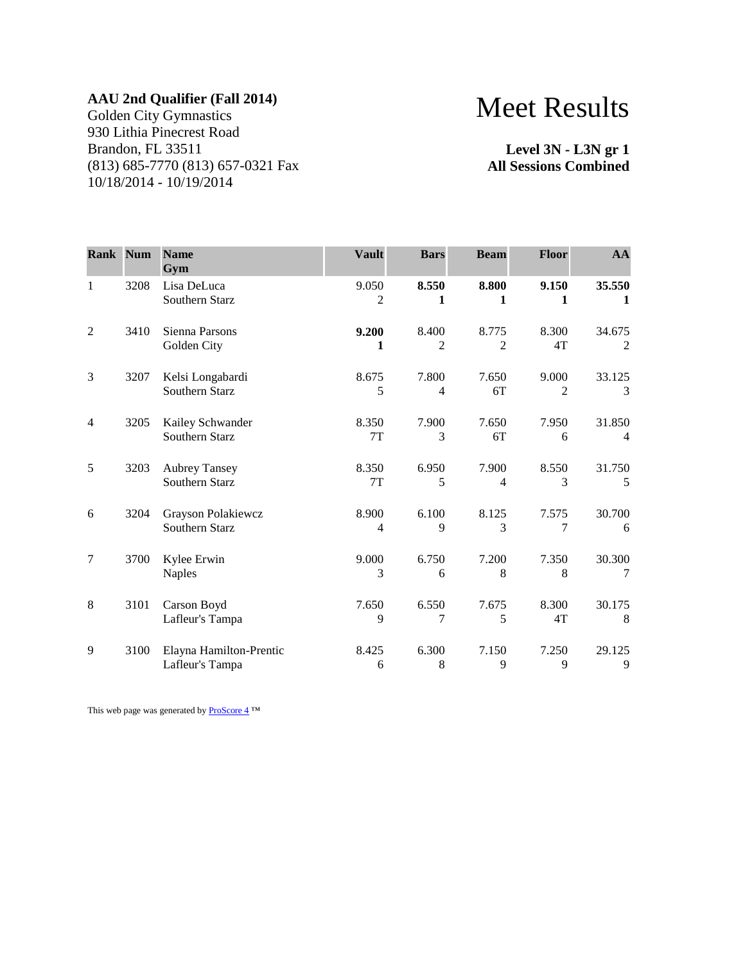Golden City Gymnastics 930 Lithia Pinecrest Road Brandon, FL 33511 (813) 685-7770 (813) 657-0321 Fax 10/18/2014 - 10/19/2014

# Meet Results

**Level 3N - L3N gr 1 All Sessions Combined**

| <b>Rank Num</b> |      | <b>Name</b><br>Gym                         | <b>Vault</b>            | <b>Bars</b>             | <b>Beam</b>             | <b>Floor</b> | AA                       |
|-----------------|------|--------------------------------------------|-------------------------|-------------------------|-------------------------|--------------|--------------------------|
| $\mathbf{1}$    | 3208 | Lisa DeLuca<br>Southern Starz              | 9.050<br>$\overline{c}$ | 8.550<br>1              | 8.800<br>1              | 9.150<br>1   | 35.550<br>1              |
| $\overline{2}$  | 3410 | Sienna Parsons<br>Golden City              | 9.200<br>1              | 8.400<br>$\overline{2}$ | 8.775<br>$\mathfrak{D}$ | 8.300<br>4T  | 34.675<br>2              |
| 3               | 3207 | Kelsi Longabardi<br>Southern Starz         | 8.675<br>5              | 7.800<br>4              | 7.650<br>6T             | 9.000<br>2   | 33.125<br>$\mathcal{E}$  |
| $\overline{4}$  | 3205 | Kailey Schwander<br>Southern Starz         | 8.350<br>7T             | 7.900<br>3              | 7.650<br>6T             | 7.950<br>6   | 31.850<br>$\overline{4}$ |
| 5               | 3203 | <b>Aubrey Tansey</b><br>Southern Starz     | 8.350<br>7T             | 6.950<br>5              | 7.900<br>4              | 8.550<br>3   | 31.750<br>5              |
| 6               | 3204 | Grayson Polakiewcz<br>Southern Starz       | 8.900<br>4              | 6.100<br>9              | 8.125<br>3              | 7.575<br>7   | 30.700<br>6              |
| $\overline{7}$  | 3700 | Kylee Erwin<br><b>Naples</b>               | 9.000<br>3              | 6.750<br>6              | 7.200<br>8              | 7.350<br>8   | 30.300<br>7              |
| 8               | 3101 | Carson Boyd<br>Lafleur's Tampa             | 7.650<br>9              | 6.550<br>7              | 7.675<br>5              | 8.300<br>4T  | 30.175<br>$\,8$          |
| 9               | 3100 | Elayna Hamilton-Prentic<br>Lafleur's Tampa | 8.425<br>6              | 6.300<br>$8\,$          | 7.150<br>9              | 7.250<br>9   | 29.125<br>9              |

This web page was generated by  $\frac{P_{\text{TO}S_{\text{C}O}}}{P_{\text{TO}S_{\text{C}O}} + 1}$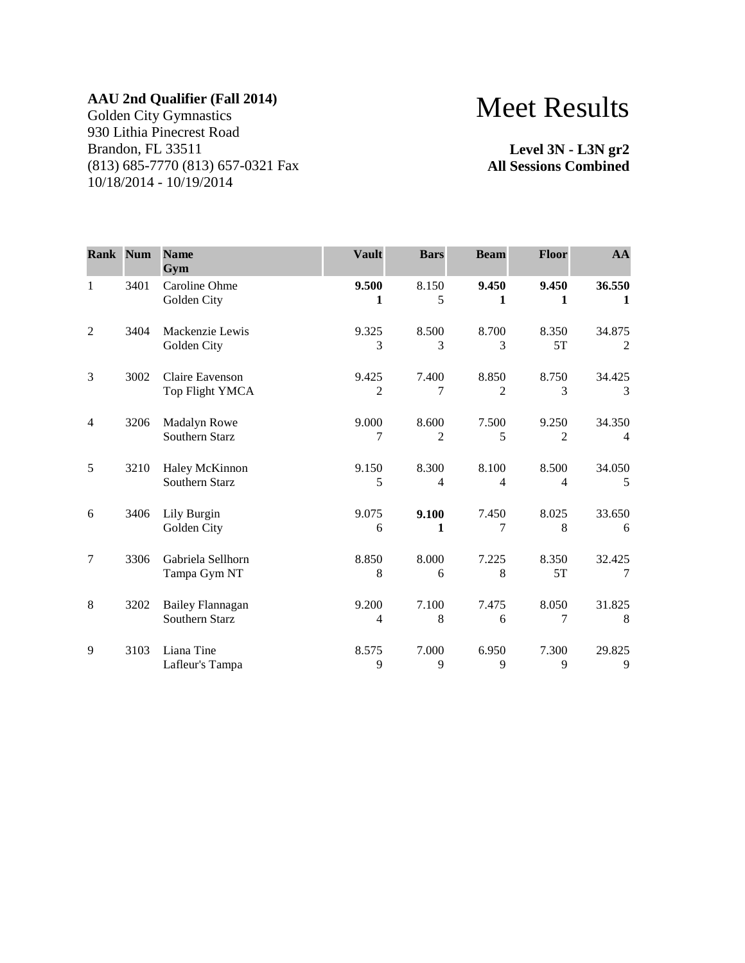Golden City Gymnastics 930 Lithia Pinecrest Road Brandon, FL 33511 (813) 685-7770 (813) 657-0321 Fax 10/18/2014 - 10/19/2014

# Meet Results

**Level 3N - L3N gr2 All Sessions Combined**

| <b>Rank Num</b> |      | <b>Name</b><br>Gym                        | <b>Vault</b> | <b>Bars</b>             | <b>Beam</b>                       | <b>Floor</b> | AA                       |
|-----------------|------|-------------------------------------------|--------------|-------------------------|-----------------------------------|--------------|--------------------------|
| $\mathbf{1}$    | 3401 | Caroline Ohme<br>Golden City              | 9.500<br>1   | 8.150<br>5              | 9.450<br>1                        | 9.450<br>1   | 36.550<br>1              |
| $\overline{2}$  | 3404 | Mackenzie Lewis<br>Golden City            | 9.325<br>3   | 8.500<br>3              | 8.700<br>3                        | 8.350<br>5T  | 34.875<br>2              |
| 3               | 3002 | Claire Eavenson<br>Top Flight YMCA        | 9.425<br>2   | 7.400<br>7              | 8.850<br>$\mathfrak{D}$           | 8.750<br>3   | 34.425<br>$\mathcal{R}$  |
| $\overline{4}$  | 3206 | Madalyn Rowe<br>Southern Starz            | 9.000<br>7   | 8.600<br>$\overline{2}$ | 7.500<br>5                        | 9.250<br>2   | 34.350<br>$\overline{4}$ |
| 5               | 3210 | Haley McKinnon<br>Southern Starz          | 9.150<br>5   | 8.300<br>$\overline{4}$ | 8.100<br>$\overline{\mathcal{A}}$ | 8.500<br>4   | 34.050<br>5              |
| 6               | 3406 | Lily Burgin<br>Golden City                | 9.075<br>6   | 9.100<br>1              | 7.450<br>7                        | 8.025<br>8   | 33.650<br>6              |
| $\overline{7}$  | 3306 | Gabriela Sellhorn<br>Tampa Gym NT         | 8.850<br>8   | 8.000<br>6              | 7.225<br>8                        | 8.350<br>5T  | 32.425<br>7              |
| 8               | 3202 | <b>Bailey Flannagan</b><br>Southern Starz | 9.200<br>4   | 7.100<br>8              | 7.475<br>6                        | 8.050<br>7   | 31.825<br>8              |
| 9               | 3103 | Liana Tine<br>Lafleur's Tampa             | 8.575<br>9   | 7.000<br>9              | 6.950<br>9                        | 7.300<br>9   | 29.825<br>9              |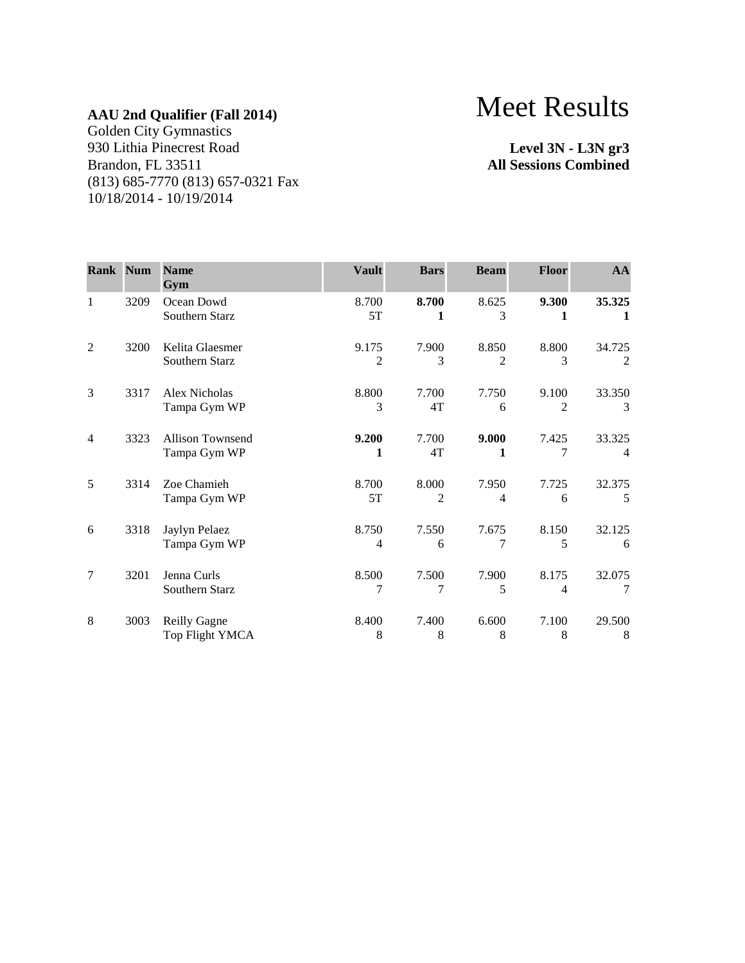Golden City Gymnastics 930 Lithia Pinecrest Road Brandon, FL 33511 (813) 685-7770 (813) 657-0321 Fax 10/18/2014 - 10/19/2014

# Meet Results

**Level 3N - L3N gr3 All Sessions Combined**

| <b>Rank Num</b> |      | <b>Name</b><br>Gym                      | <b>Vault</b> | <b>Bars</b>             | <b>Beam</b> | Floor                   | AA                       |
|-----------------|------|-----------------------------------------|--------------|-------------------------|-------------|-------------------------|--------------------------|
| 1               | 3209 | Ocean Dowd<br>Southern Starz            | 8.700<br>5T  | 8.700<br>1              | 8.625<br>3  | 9.300<br>1              | 35.325<br>1              |
| $\overline{2}$  | 3200 | Kelita Glaesmer<br>Southern Starz       | 9.175<br>2   | 7.900<br>3              | 8.850<br>2  | 8.800<br>3              | 34.725<br>$\overline{2}$ |
| 3               | 3317 | Alex Nicholas<br>Tampa Gym WP           | 8.800<br>3   | 7.700<br>4T             | 7.750<br>6  | 9.100<br>$\mathfrak{D}$ | 33.350<br>3              |
| 4               | 3323 | <b>Allison Townsend</b><br>Tampa Gym WP | 9.200<br>1   | 7.700<br>4T             | 9.000<br>1  | 7.425<br>7              | 33.325<br>4              |
| 5               | 3314 | Zoe Chamieh<br>Tampa Gym WP             | 8.700<br>5T  | 8.000<br>$\overline{2}$ | 7.950<br>4  | 7.725<br>6              | 32.375<br>5              |
| 6               | 3318 | Jaylyn Pelaez<br>Tampa Gym WP           | 8.750<br>4   | 7.550<br>6              | 7.675<br>7  | 8.150<br>5              | 32.125<br>6              |
| 7               | 3201 | Jenna Curls<br>Southern Starz           | 8.500<br>7   | 7.500<br>7              | 7.900<br>5  | 8.175<br>4              | 32.075<br>7              |
| 8               | 3003 | <b>Reilly Gagne</b><br>Top Flight YMCA  | 8.400<br>8   | 7.400<br>8              | 6.600<br>8  | 7.100<br>8              | 29.500<br>8              |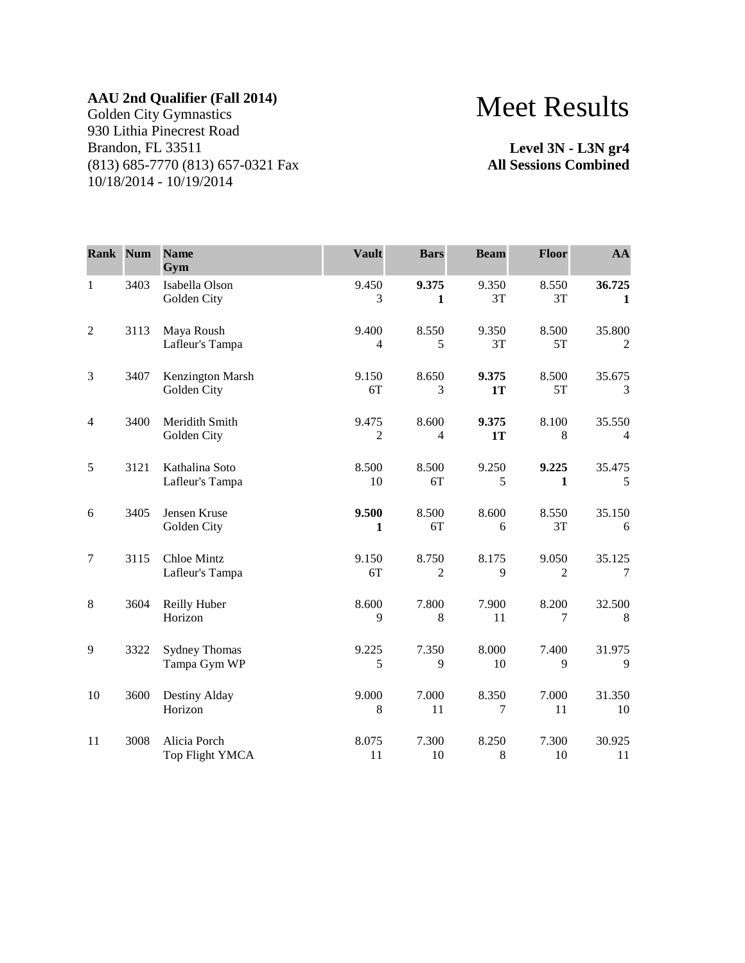Golden City Gymnastics 930 Lithia Pinecrest Road Brandon, FL 33511 (813) 685-7770 (813) 657-0321 Fax 10/18/2014 - 10/19/2014

## Meet Results

**Level 3N - L3N gr4 All Sessions Combined**

| Rank Num       |      | <b>Name</b><br>Gym                   | <b>Vault</b>            | <b>Bars</b>             | <b>Beam</b>    | <b>Floor</b>            | AA                       |
|----------------|------|--------------------------------------|-------------------------|-------------------------|----------------|-------------------------|--------------------------|
| $\mathbf{1}$   | 3403 | Isabella Olson<br>Golden City        | 9.450<br>3              | 9.375<br>1              | 9.350<br>3T    | 8.550<br>3T             | 36.725<br>1              |
| $\mathfrak{2}$ | 3113 | Maya Roush<br>Lafleur's Tampa        | 9.400<br>$\overline{4}$ | 8.550<br>5              | 9.350<br>3T    | 8.500<br>5T             | 35.800<br>$\overline{2}$ |
| 3              | 3407 | Kenzington Marsh<br>Golden City      | 9.150<br>6T             | 8.650<br>3              | 9.375<br>1T    | 8.500<br>5T             | 35.675<br>3              |
| 4              | 3400 | Meridith Smith<br>Golden City        | 9.475<br>$\overline{c}$ | 8.600<br>4              | 9.375<br>1T    | 8.100<br>8              | 35.550<br>$\overline{4}$ |
| 5              | 3121 | Kathalina Soto<br>Lafleur's Tampa    | 8.500<br>10             | 8.500<br>6T             | 9.250<br>5     | 9.225<br>$\mathbf{1}$   | 35.475<br>5              |
| 6              | 3405 | Jensen Kruse<br>Golden City          | 9.500<br>1              | 8.500<br>6T             | 8.600<br>6     | 8.550<br>3T             | 35.150<br>6              |
| $\tau$         | 3115 | Chloe Mintz<br>Lafleur's Tampa       | 9.150<br>6T             | 8.750<br>$\overline{2}$ | 8.175<br>9     | 9.050<br>$\overline{2}$ | 35.125<br>7              |
| 8              | 3604 | Reilly Huber<br>Horizon              | 8.600<br>9              | 7.800<br>$8\,$          | 7.900<br>11    | 8.200<br>7              | 32.500<br>8              |
| 9              | 3322 | <b>Sydney Thomas</b><br>Tampa Gym WP | 9.225<br>5              | 7.350<br>9              | 8.000<br>10    | 7.400<br>9              | 31.975<br>9              |
| 10             | 3600 | Destiny Alday<br>Horizon             | 9.000<br>8              | 7.000<br>11             | 8.350<br>7     | 7.000<br>11             | 31.350<br>10             |
| 11             | 3008 | Alicia Porch<br>Top Flight YMCA      | 8.075<br>11             | 7.300<br>10             | 8.250<br>$8\,$ | 7.300<br>10             | 30.925<br>11             |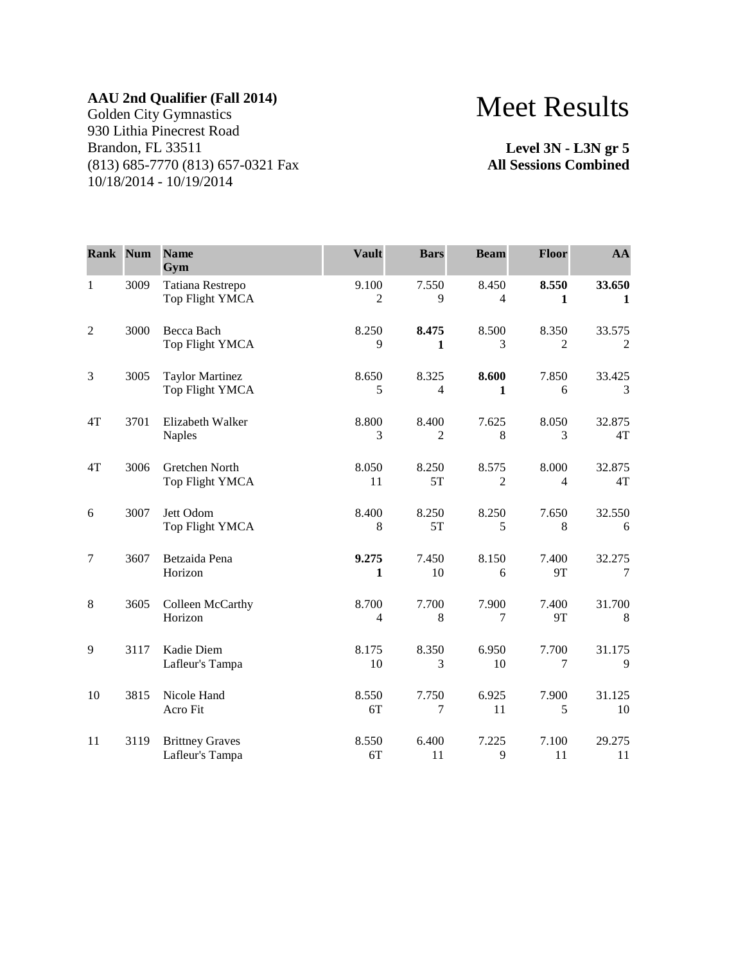Golden City Gymnastics 930 Lithia Pinecrest Road Brandon, FL 33511 (813) 685-7770 (813) 657-0321 Fax 10/18/2014 - 10/19/2014

### Meet Results

**Level 3N - L3N gr 5 All Sessions Combined**

| <b>Rank Num</b> |      | <b>Name</b><br>Gym                        | <b>Vault</b>            | <b>Bars</b>             | <b>Beam</b>             | <b>Floor</b>            | AA              |
|-----------------|------|-------------------------------------------|-------------------------|-------------------------|-------------------------|-------------------------|-----------------|
| $\mathbf{1}$    | 3009 | Tatiana Restrepo<br>Top Flight YMCA       | 9.100<br>2              | 7.550<br>9              | 8.450<br>4              | 8.550<br>1              | 33.650<br>1     |
| $\overline{2}$  | 3000 | Becca Bach<br>Top Flight YMCA             | 8.250<br>9              | 8.475<br>1              | 8.500<br>3              | 8.350<br>$\overline{2}$ | 33.575<br>2     |
| 3               | 3005 | <b>Taylor Martinez</b><br>Top Flight YMCA | 8.650<br>5              | 8.325<br>$\overline{4}$ | 8.600<br>1              | 7.850<br>6              | 33.425<br>3     |
| 4T              | 3701 | Elizabeth Walker<br><b>Naples</b>         | 8.800<br>3              | 8.400<br>2              | 7.625<br>8              | 8.050<br>3              | 32.875<br>4T    |
| 4T              | 3006 | Gretchen North<br>Top Flight YMCA         | 8.050<br>11             | 8.250<br>5T             | 8.575<br>$\overline{2}$ | 8.000<br>$\overline{4}$ | 32.875<br>4T    |
| 6               | 3007 | Jett Odom<br>Top Flight YMCA              | 8.400<br>8              | 8.250<br>5T             | 8.250<br>5              | 7.650<br>8              | 32.550<br>6     |
| $\overline{7}$  | 3607 | Betzaida Pena<br>Horizon                  | 9.275<br>1              | 7.450<br>10             | 8.150<br>6              | 7.400<br><b>9T</b>      | 32.275<br>7     |
| $\,8\,$         | 3605 | Colleen McCarthy<br>Horizon               | 8.700<br>$\overline{4}$ | 7.700<br>8              | 7.900<br>7              | 7.400<br>9T             | 31.700<br>$\,8$ |
| 9               | 3117 | Kadie Diem<br>Lafleur's Tampa             | 8.175<br>10             | 8.350<br>3              | 6.950<br>10             | 7.700<br>7              | 31.175<br>9     |
| 10              | 3815 | Nicole Hand<br>Acro Fit                   | 8.550<br>6T             | 7.750<br>7              | 6.925<br>11             | 7.900<br>5              | 31.125<br>10    |
| 11              | 3119 | <b>Brittney Graves</b><br>Lafleur's Tampa | 8.550<br>6T             | 6.400<br>11             | 7.225<br>9              | 7.100<br>11             | 29.275<br>11    |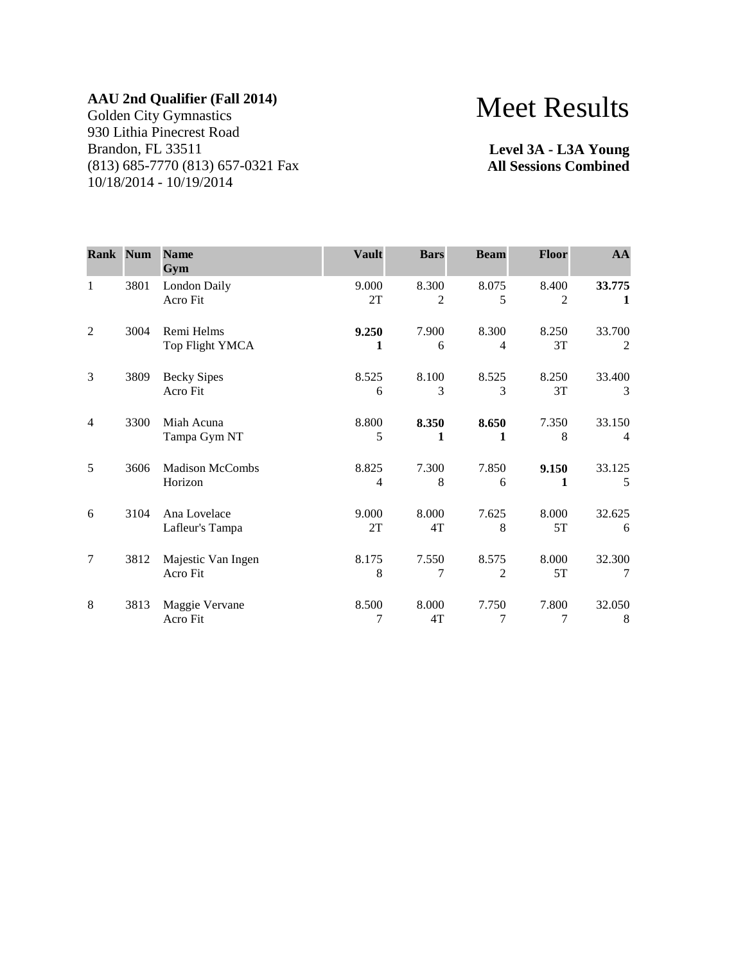Golden City Gymnastics 930 Lithia Pinecrest Road Brandon, FL 33511 (813) 685-7770 (813) 657-0321 Fax 10/18/2014 - 10/19/2014

# Meet Results

**Level 3A - L3A Young All Sessions Combined**

| <b>Rank Num</b> |      | <b>Name</b><br>Gym                | <b>Vault</b> | <b>Bars</b> | <b>Beam</b> | Floor       | AA          |
|-----------------|------|-----------------------------------|--------------|-------------|-------------|-------------|-------------|
| 1               | 3801 | London Daily<br>Acro Fit          | 9.000<br>2T  | 8.300<br>2  | 8.075<br>5  | 8.400<br>2  | 33.775<br>1 |
| $\overline{2}$  | 3004 | Remi Helms<br>Top Flight YMCA     | 9.250<br>1   | 7.900<br>6  | 8.300<br>4  | 8.250<br>3T | 33.700<br>2 |
| 3               | 3809 | <b>Becky Sipes</b><br>Acro Fit    | 8.525<br>6   | 8.100<br>3  | 8.525<br>3  | 8.250<br>3T | 33.400<br>3 |
| $\overline{4}$  | 3300 | Miah Acuna<br>Tampa Gym NT        | 8.800<br>5   | 8.350<br>1  | 8.650<br>1  | 7.350<br>8  | 33.150<br>4 |
| 5               | 3606 | <b>Madison McCombs</b><br>Horizon | 8.825<br>4   | 7.300<br>8  | 7.850<br>6  | 9.150<br>1  | 33.125<br>5 |
| 6               | 3104 | Ana Lovelace<br>Lafleur's Tampa   | 9.000<br>2T  | 8.000<br>4T | 7.625<br>8  | 8.000<br>5T | 32.625<br>6 |
| 7               | 3812 | Majestic Van Ingen<br>Acro Fit    | 8.175<br>8   | 7.550<br>7  | 8.575<br>2  | 8.000<br>5T | 32.300<br>7 |
| 8               | 3813 | Maggie Vervane<br>Acro Fit        | 8.500<br>7   | 8.000<br>4T | 7.750<br>7  | 7.800<br>7  | 32.050<br>8 |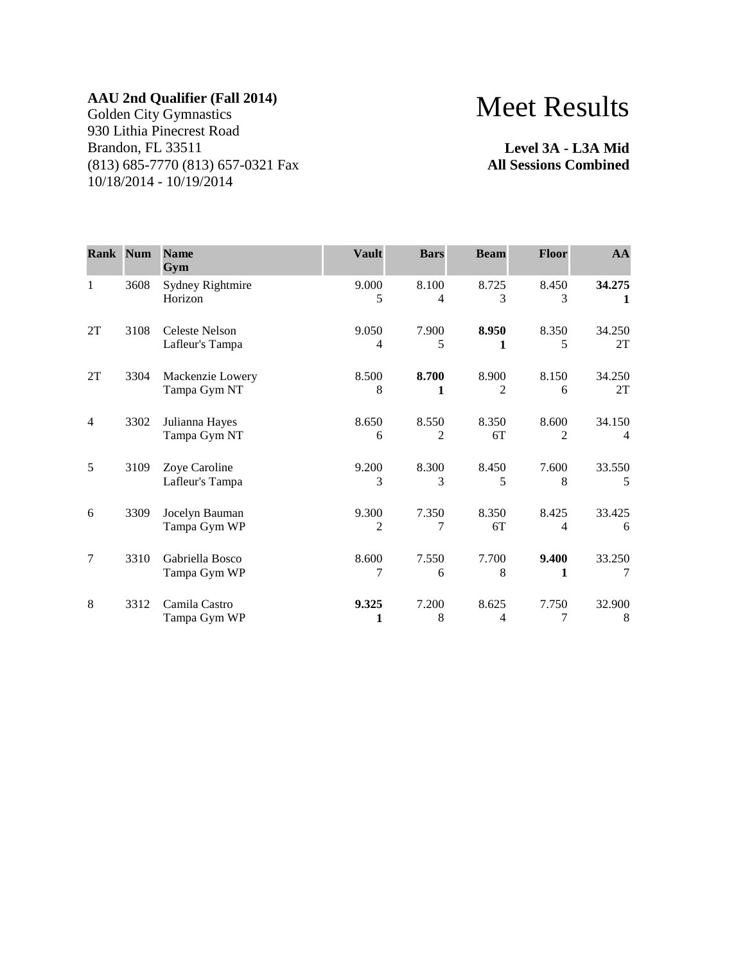Golden City Gymnastics 930 Lithia Pinecrest Road Brandon, FL 33511 (813) 685-7770 (813) 657-0321 Fax 10/18/2014 - 10/19/2014

## Meet Results

**Level 3A - L3A Mid All Sessions Combined**

| Rank Num |      | <b>Name</b><br>Gym                       | <b>Vault</b> | <b>Bars</b>             | <b>Beam</b> | <b>Floor</b>            | AA                       |
|----------|------|------------------------------------------|--------------|-------------------------|-------------|-------------------------|--------------------------|
| 1        | 3608 | <b>Sydney Rightmire</b><br>Horizon       | 9.000<br>5   | 8.100<br>4              | 8.725<br>3  | 8.450<br>3              | 34.275<br>1              |
| 2T       | 3108 | <b>Celeste Nelson</b><br>Lafleur's Tampa | 9.050<br>4   | 7.900<br>5              | 8.950<br>1  | 8.350<br>5              | 34.250<br>2T             |
| 2T       | 3304 | Mackenzie Lowery<br>Tampa Gym NT         | 8.500<br>8   | 8.700<br>1              | 8.900<br>2  | 8.150<br>6              | 34.250<br>2T             |
| 4        | 3302 | Julianna Hayes<br>Tampa Gym NT           | 8.650<br>6   | 8.550<br>$\overline{c}$ | 8.350<br>6T | 8.600<br>$\overline{c}$ | 34.150<br>$\overline{4}$ |
| 5        | 3109 | Zoye Caroline<br>Lafleur's Tampa         | 9.200<br>3   | 8.300<br>3              | 8.450<br>5  | 7.600<br>8              | 33.550<br>5              |
| 6        | 3309 | Jocelyn Bauman<br>Tampa Gym WP           | 9.300<br>2   | 7.350<br>7              | 8.350<br>6T | 8.425<br>4              | 33.425<br>6              |
| 7        | 3310 | Gabriella Bosco<br>Tampa Gym WP          | 8.600<br>7   | 7.550<br>6              | 7.700<br>8  | 9.400<br>1              | 33.250<br>7              |
| 8        | 3312 | Camila Castro<br>Tampa Gym WP            | 9.325<br>1   | 7.200<br>8              | 8.625<br>4  | 7.750<br>7              | 32.900<br>8              |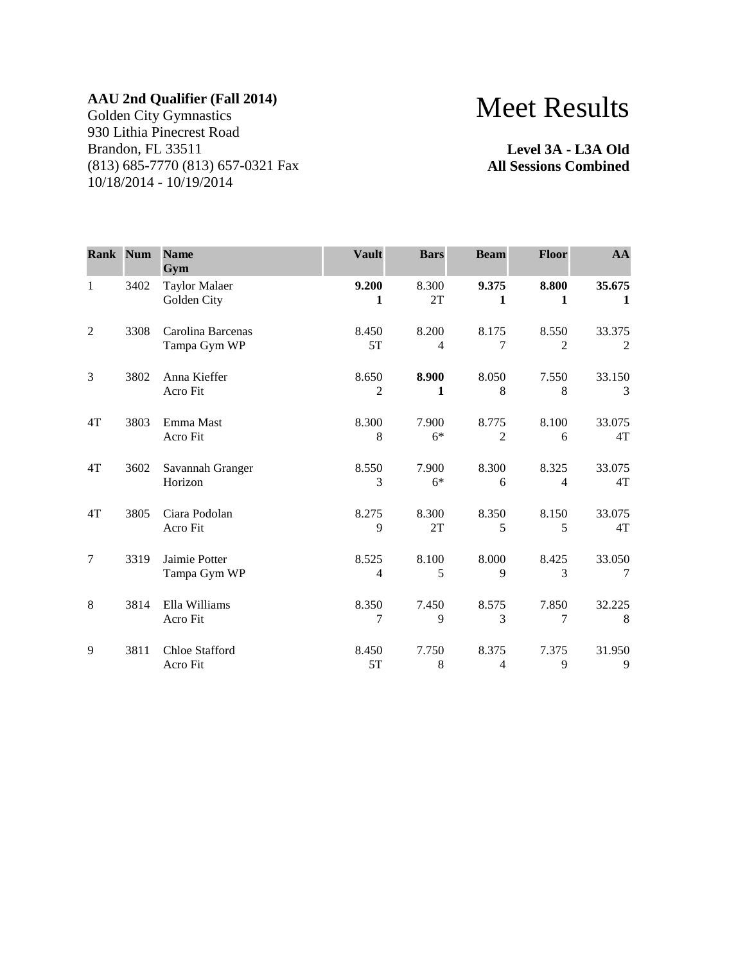Golden City Gymnastics 930 Lithia Pinecrest Road Brandon, FL 33511 (813) 685-7770 (813) 657-0321 Fax 10/18/2014 - 10/19/2014

# Meet Results

**Level 3A - L3A Old All Sessions Combined**

| <b>Rank Num</b> |      | <b>Name</b><br>Gym                  | <b>Vault</b>            | <b>Bars</b>             | <b>Beam</b>             | <b>Floor</b>            | AA                     |
|-----------------|------|-------------------------------------|-------------------------|-------------------------|-------------------------|-------------------------|------------------------|
| $\mathbf{1}$    | 3402 | <b>Taylor Malaer</b><br>Golden City | 9.200<br>1              | 8.300<br>2T             | 9.375<br>1              | 8.800<br>1              | 35.675<br>$\mathbf{1}$ |
| $\overline{2}$  | 3308 | Carolina Barcenas<br>Tampa Gym WP   | 8.450<br>5T             | 8.200<br>$\overline{4}$ | 8.175<br>7              | 8.550<br>$\mathfrak{D}$ | 33.375<br>2            |
| 3               | 3802 | Anna Kieffer<br>Acro Fit            | 8.650<br>2              | 8.900<br>1              | 8.050<br>8              | 7.550<br>8              | 33.150<br>3            |
| 4T              | 3803 | Emma Mast<br>Acro Fit               | 8.300<br>8              | 7.900<br>$6*$           | 8.775<br>$\overline{2}$ | 8.100<br>6              | 33.075<br>4T           |
| 4T              | 3602 | Savannah Granger<br>Horizon         | 8.550<br>3              | 7.900<br>$6*$           | 8.300<br>6              | 8.325<br>$\overline{4}$ | 33.075<br>4T           |
| 4T              | 3805 | Ciara Podolan<br>Acro Fit           | 8.275<br>9              | 8.300<br>2T             | 8.350<br>5              | 8.150<br>5              | 33.075<br>4T           |
| $\tau$          | 3319 | Jaimie Potter<br>Tampa Gym WP       | 8.525<br>$\overline{4}$ | 8.100<br>5              | 8.000<br>9              | 8.425<br>3              | 33.050<br>7            |
| 8               | 3814 | Ella Williams<br>Acro Fit           | 8.350<br>7              | 7.450<br>9              | 8.575<br>3              | 7.850<br>7              | 32.225<br>8            |
| 9               | 3811 | Chloe Stafford<br>Acro Fit          | 8.450<br>5T             | 7.750<br>8              | 8.375<br>4              | 7.375<br>9              | 31.950<br>9            |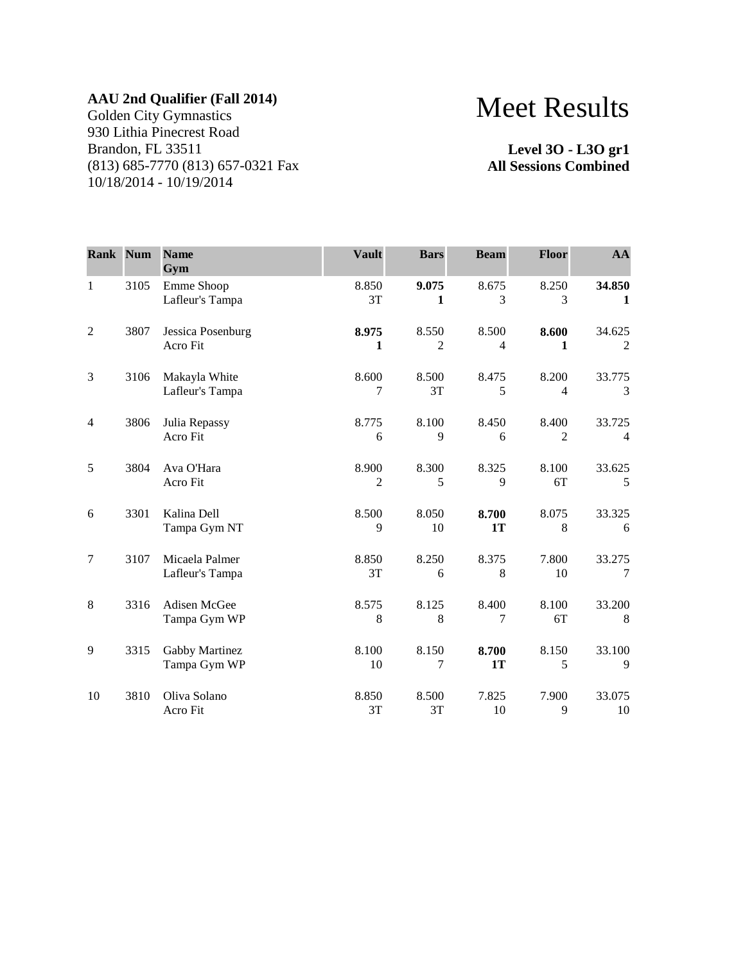Golden City Gymnastics 930 Lithia Pinecrest Road Brandon, FL 33511 (813) 685-7770 (813) 657-0321 Fax 10/18/2014 - 10/19/2014

# Meet Results

**Level 3O - L3O gr1 All Sessions Combined**

| Rank           | Num  | <b>Name</b><br>Gym                | <b>Vault</b> | <b>Bars</b>             | <b>Beam</b> | <b>Floor</b>            | AA                       |
|----------------|------|-----------------------------------|--------------|-------------------------|-------------|-------------------------|--------------------------|
| 1              | 3105 | Emme Shoop<br>Lafleur's Tampa     | 8.850<br>3T  | 9.075<br>1              | 8.675<br>3  | 8.250<br>3              | 34.850<br>1              |
| $\overline{2}$ | 3807 | Jessica Posenburg<br>Acro Fit     | 8.975<br>1   | 8.550<br>$\overline{2}$ | 8.500<br>4  | 8.600<br>1              | 34.625<br>2              |
| 3              | 3106 | Makayla White<br>Lafleur's Tampa  | 8.600<br>7   | 8.500<br>3T             | 8.475<br>5  | 8.200<br>$\overline{4}$ | 33.775<br>3              |
| $\overline{4}$ | 3806 | Julia Repassy<br>Acro Fit         | 8.775<br>6   | 8.100<br>9              | 8.450<br>6  | 8.400<br>2              | 33.725<br>$\overline{4}$ |
| 5              | 3804 | Ava O'Hara<br>Acro Fit            | 8.900<br>2   | 8.300<br>5              | 8.325<br>9  | 8.100<br>6T             | 33.625<br>5              |
| 6              | 3301 | Kalina Dell<br>Tampa Gym NT       | 8.500<br>9   | 8.050<br>10             | 8.700<br>1T | 8.075<br>8              | 33.325<br>6              |
| $\overline{7}$ | 3107 | Micaela Palmer<br>Lafleur's Tampa | 8.850<br>3T  | 8.250<br>6              | 8.375<br>8  | 7.800<br>10             | 33.275<br>7              |
| 8              | 3316 | Adisen McGee<br>Tampa Gym WP      | 8.575<br>8   | 8.125<br>8              | 8.400<br>7  | 8.100<br>6T             | 33.200<br>8              |
| 9              | 3315 | Gabby Martinez<br>Tampa Gym WP    | 8.100<br>10  | 8.150<br>7              | 8.700<br>1T | 8.150<br>5              | 33.100<br>9              |
| 10             | 3810 | Oliva Solano<br>Acro Fit          | 8.850<br>3T  | 8.500<br>3T             | 7.825<br>10 | 7.900<br>9              | 33.075<br>10             |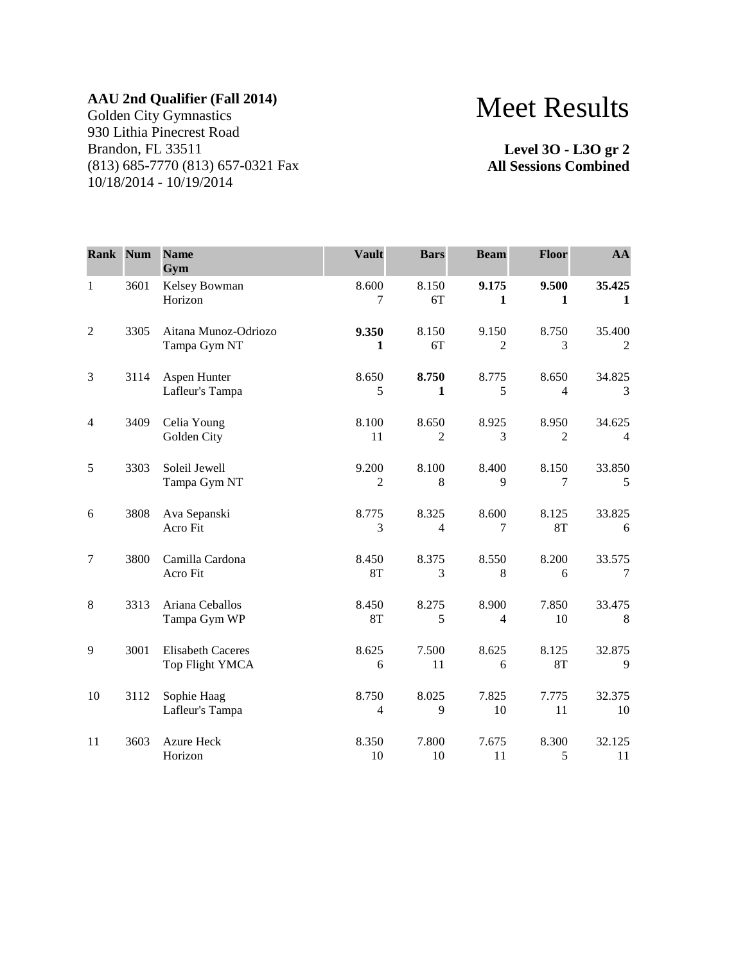Golden City Gymnastics 930 Lithia Pinecrest Road Brandon, FL 33511 (813) 685-7770 (813) 657-0321 Fax 10/18/2014 - 10/19/2014

# Meet Results

**Level 3O - L3O gr 2 All Sessions Combined**

| <b>Rank Num</b> |      | <b>Name</b><br>Gym                          | <b>Vault</b>            | <b>Bars</b>             | <b>Beam</b>             | Floor                   | AA           |
|-----------------|------|---------------------------------------------|-------------------------|-------------------------|-------------------------|-------------------------|--------------|
| $\mathbf{1}$    | 3601 | Kelsey Bowman<br>Horizon                    | 8.600<br>7              | 8.150<br>6T             | 9.175<br>1              | 9.500<br>1              | 35.425<br>1  |
| $\mathfrak{2}$  | 3305 | Aitana Munoz-Odriozo<br>Tampa Gym NT        | 9.350<br>1              | 8.150<br>6T             | 9.150<br>$\overline{2}$ | 8.750<br>3              | 35.400<br>2  |
| 3               | 3114 | Aspen Hunter<br>Lafleur's Tampa             | 8.650<br>5              | 8.750<br>1              | 8.775<br>5              | 8.650<br>$\overline{4}$ | 34.825<br>3  |
| $\overline{4}$  | 3409 | Celia Young<br>Golden City                  | 8.100<br>11             | 8.650<br>2              | 8.925<br>3              | 8.950<br>$\overline{2}$ | 34.625<br>4  |
| 5               | 3303 | Soleil Jewell<br>Tampa Gym NT               | 9.200<br>2              | 8.100<br>8              | 8.400<br>9              | 8.150<br>7              | 33.850<br>5  |
| 6               | 3808 | Ava Sepanski<br>Acro Fit                    | 8.775<br>3              | 8.325<br>$\overline{4}$ | 8.600<br>7              | 8.125<br><b>8T</b>      | 33.825<br>6  |
| $\tau$          | 3800 | Camilla Cardona<br>Acro Fit                 | 8.450<br><b>8T</b>      | 8.375<br>3              | 8.550<br>8              | 8.200<br>6              | 33.575<br>7  |
| $\,$ 8 $\,$     | 3313 | Ariana Ceballos<br>Tampa Gym WP             | 8.450<br><b>8T</b>      | 8.275<br>5              | 8.900<br>$\overline{4}$ | 7.850<br>10             | 33.475<br>8  |
| 9               | 3001 | <b>Elisabeth Caceres</b><br>Top Flight YMCA | 8.625<br>6              | 7.500<br>11             | 8.625<br>6              | 8.125<br>8T             | 32.875<br>9  |
| 10              | 3112 | Sophie Haag<br>Lafleur's Tampa              | 8.750<br>$\overline{4}$ | 8.025<br>9              | 7.825<br>10             | 7.775<br>11             | 32.375<br>10 |
| 11              | 3603 | Azure Heck<br>Horizon                       | 8.350<br>10             | 7.800<br>10             | 7.675<br>11             | 8.300<br>5              | 32.125<br>11 |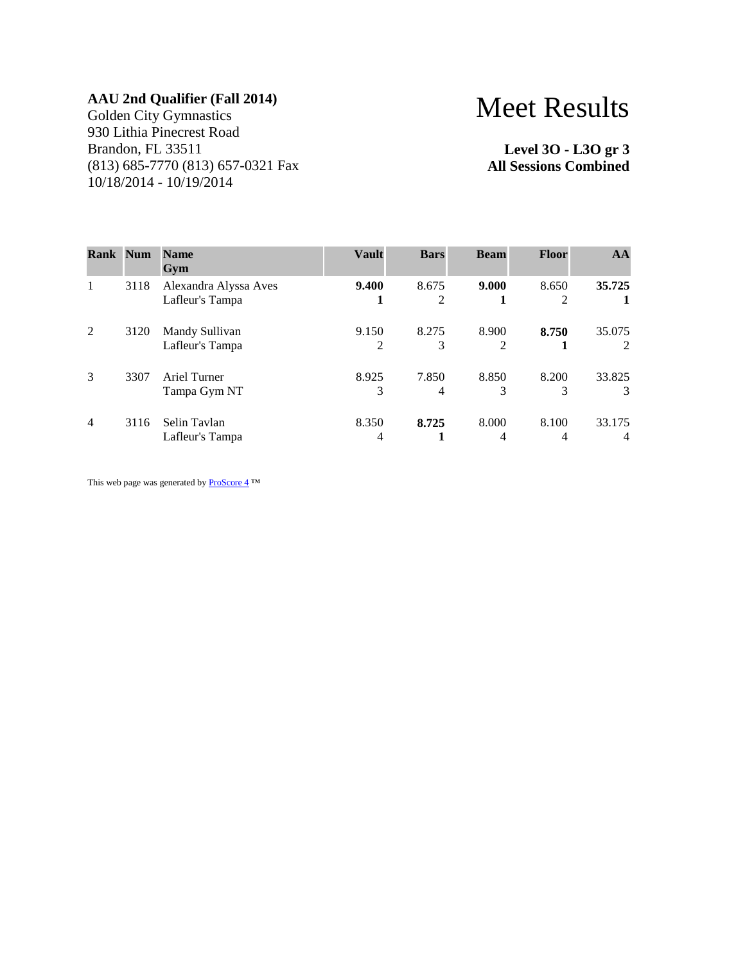Golden City Gymnastics 930 Lithia Pinecrest Road Brandon, FL 33511 (813) 685-7770 (813) 657-0321 Fax 10/18/2014 - 10/19/2014

# Meet Results

**Level 3O - L3O gr 3 All Sessions Combined**

| <b>Rank Num</b> |      | <b>Name</b><br>Gym                       | <b>Vault</b> | <b>Bars</b> | <b>Beam</b> | <b>Floor</b> | AA                       |
|-----------------|------|------------------------------------------|--------------|-------------|-------------|--------------|--------------------------|
| 1               | 3118 | Alexandra Alyssa Aves<br>Lafleur's Tampa | 9.400        | 8.675<br>2  | 9.000       | 8.650<br>2   | 35.725                   |
| 2               | 3120 | Mandy Sullivan<br>Lafleur's Tampa        | 9.150<br>2   | 8.275<br>3  | 8.900       | 8.750        | 35.075<br>2              |
| 3               | 3307 | Ariel Turner<br>Tampa Gym NT             | 8.925<br>3   | 7.850<br>4  | 8.850<br>3  | 8.200<br>3   | 33.825<br>3              |
| $\overline{4}$  | 3116 | Selin Tavlan<br>Lafleur's Tampa          | 8.350<br>4   | 8.725       | 8.000       | 8.100<br>4   | 33.175<br>$\overline{4}$ |

This web page was generated by  $\underline{\text{ProScore 4}}^{\text{TM}}$